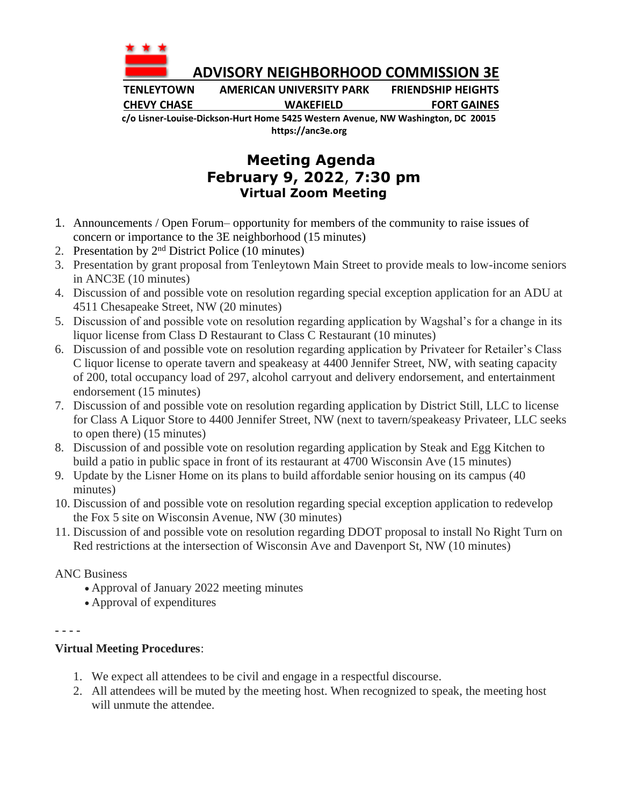

 **ADVISORY NEIGHBORHOOD COMMISSION 3E**

**TENLEYTOWN AMERICAN UNIVERSITY PARK FRIENDSHIP HEIGHTS CHEVY CHASE WAKEFIELD FORT GAINES**

**c/o Lisner-Louise-Dickson-Hurt Home 5425 Western Avenue, NW Washington, DC 20015 https://anc3e.org**

## **Meeting Agenda February 9, 2022**, **7:30 pm Virtual Zoom Meeting**

- 1. Announcements / Open Forum– opportunity for members of the community to raise issues of concern or importance to the 3E neighborhood (15 minutes)
- 2. Presentation by  $2<sup>nd</sup>$  District Police (10 minutes)
- 3. Presentation by grant proposal from Tenleytown Main Street to provide meals to low-income seniors in ANC3E (10 minutes)
- 4. Discussion of and possible vote on resolution regarding special exception application for an ADU at 4511 Chesapeake Street, NW (20 minutes)
- 5. Discussion of and possible vote on resolution regarding application by Wagshal's for a change in its liquor license from Class D Restaurant to Class C Restaurant (10 minutes)
- 6. Discussion of and possible vote on resolution regarding application by Privateer for Retailer's Class C liquor license to operate tavern and speakeasy at 4400 Jennifer Street, NW, with seating capacity of 200, total occupancy load of 297, alcohol carryout and delivery endorsement, and entertainment endorsement (15 minutes)
- 7. Discussion of and possible vote on resolution regarding application by District Still, LLC to license for Class A Liquor Store to 4400 Jennifer Street, NW (next to tavern/speakeasy Privateer, LLC seeks to open there) (15 minutes)
- 8. Discussion of and possible vote on resolution regarding application by Steak and Egg Kitchen to build a patio in public space in front of its restaurant at 4700 Wisconsin Ave (15 minutes)
- 9. Update by the Lisner Home on its plans to build affordable senior housing on its campus (40 minutes)
- 10. Discussion of and possible vote on resolution regarding special exception application to redevelop the Fox 5 site on Wisconsin Avenue, NW (30 minutes)
- 11. Discussion of and possible vote on resolution regarding DDOT proposal to install No Right Turn on Red restrictions at the intersection of Wisconsin Ave and Davenport St, NW (10 minutes)

ANC Business

- Approval of January 2022 meeting minutes
- Approval of expenditures

- - - -

## **Virtual Meeting Procedures**:

- 1. We expect all attendees to be civil and engage in a respectful discourse.
- 2. All attendees will be muted by the meeting host. When recognized to speak, the meeting host will unmute the attendee.